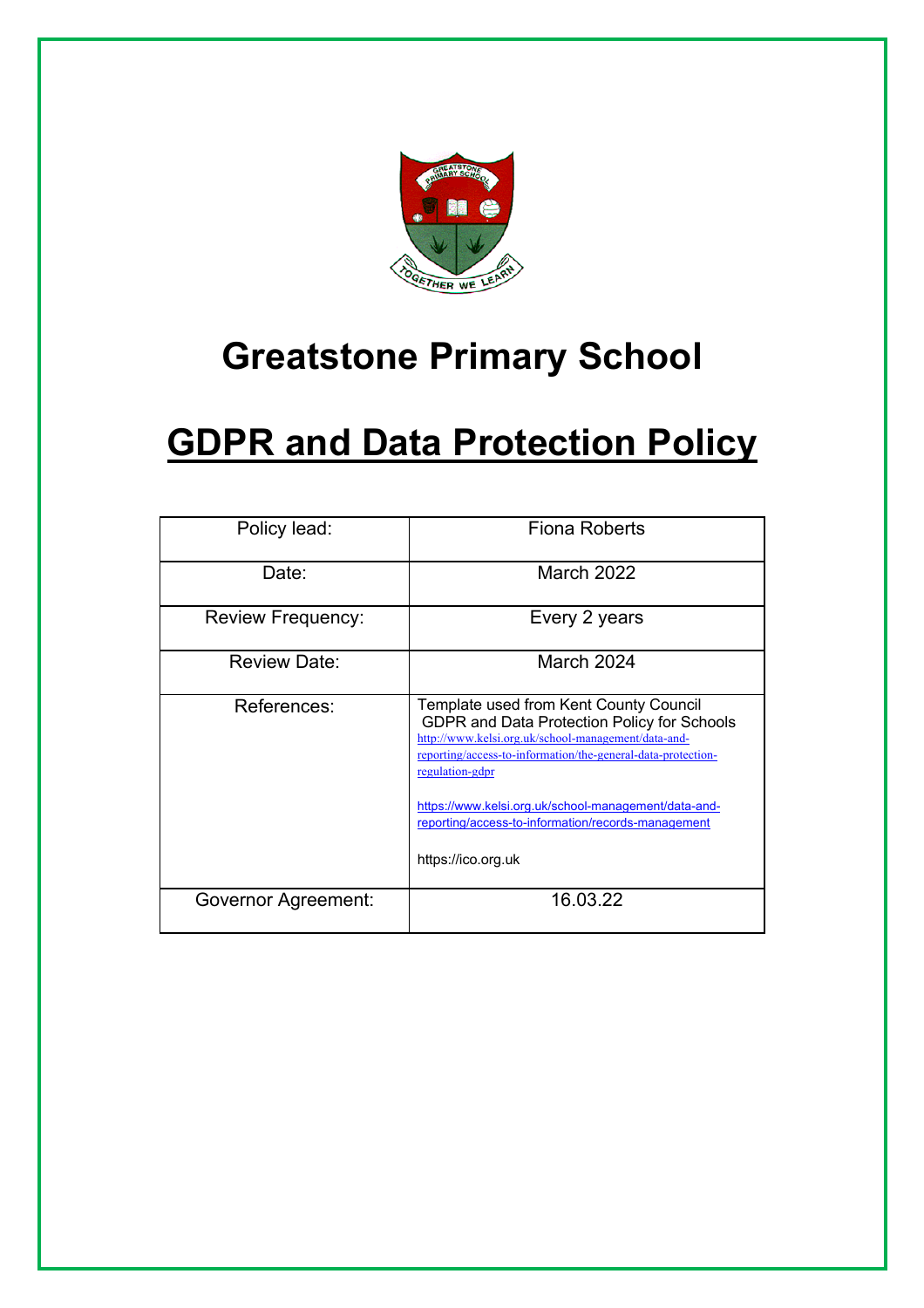

## **Greatstone Primary School**

# **GDPR and Data Protection Policy**

| Policy lead:             | <b>Fiona Roberts</b>                                                                                                                                                                                                                                                                                                                          |
|--------------------------|-----------------------------------------------------------------------------------------------------------------------------------------------------------------------------------------------------------------------------------------------------------------------------------------------------------------------------------------------|
| Date:                    | March 2022                                                                                                                                                                                                                                                                                                                                    |
| <b>Review Frequency:</b> | Every 2 years                                                                                                                                                                                                                                                                                                                                 |
| <b>Review Date:</b>      | March 2024                                                                                                                                                                                                                                                                                                                                    |
| References:              | Template used from Kent County Council<br>GDPR and Data Protection Policy for Schools<br>http://www.kelsi.org.uk/school-management/data-and-<br>reporting/access-to-information/the-general-data-protection-<br>regulation-gdpr<br>https://www.kelsi.org.uk/school-management/data-and-<br>reporting/access-to-information/records-management |
|                          | https://ico.org.uk                                                                                                                                                                                                                                                                                                                            |
| Governor Agreement:      | 16.03.22                                                                                                                                                                                                                                                                                                                                      |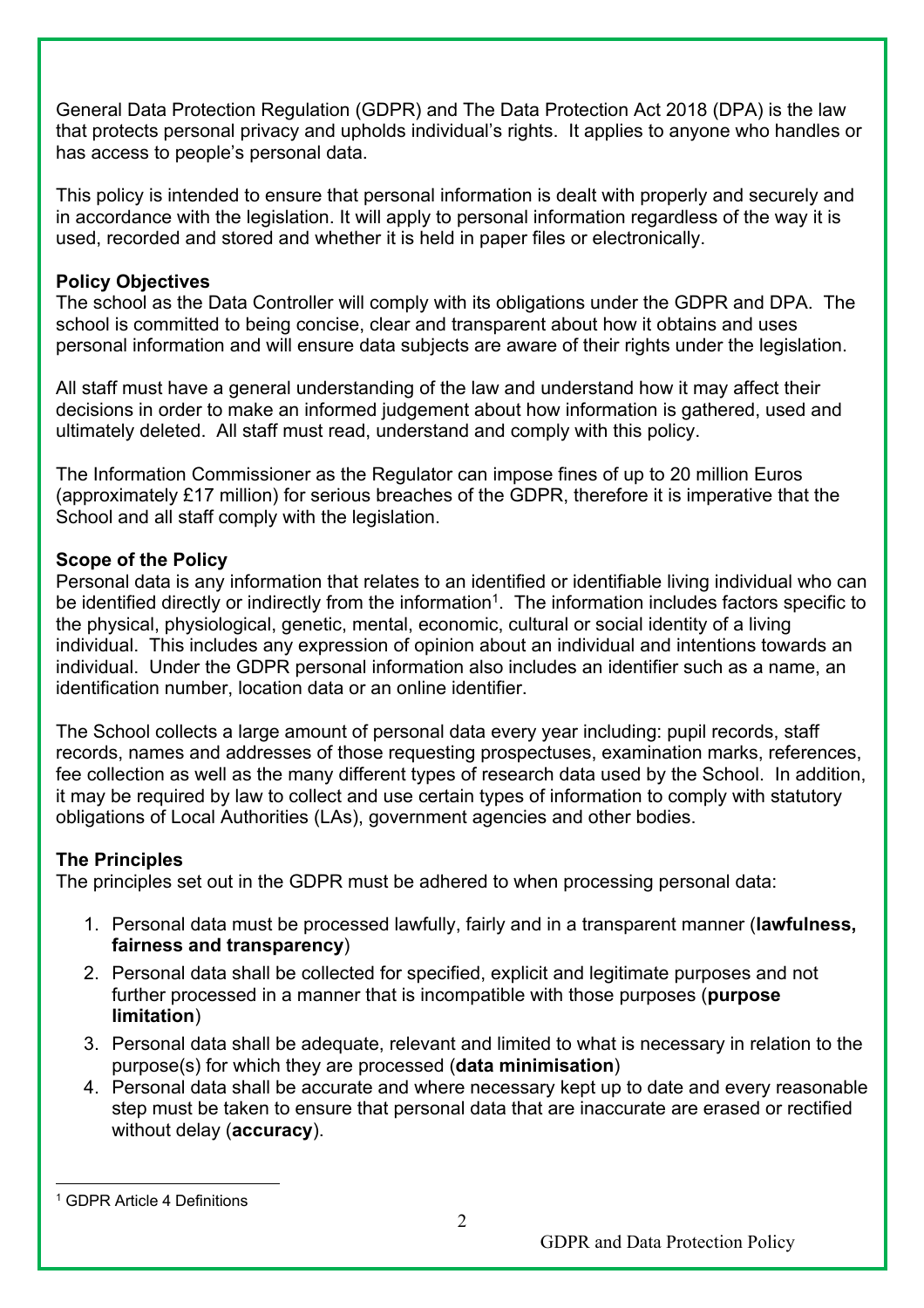General Data Protection Regulation (GDPR) and The Data Protection Act 2018 (DPA) is the law that protects personal privacy and upholds individual's rights. It applies to anyone who handles or has access to people's personal data.

This policy is intended to ensure that personal information is dealt with properly and securely and in accordance with the legislation. It will apply to personal information regardless of the way it is used, recorded and stored and whether it is held in paper files or electronically.

#### **Policy Objectives**

The school as the Data Controller will comply with its obligations under the GDPR and DPA. The school is committed to being concise, clear and transparent about how it obtains and uses personal information and will ensure data subjects are aware of their rights under the legislation.

All staff must have a general understanding of the law and understand how it may affect their decisions in order to make an informed judgement about how information is gathered, used and ultimately deleted. All staff must read, understand and comply with this policy.

The Information Commissioner as the Regulator can impose fines of up to 20 million Euros (approximately £17 million) for serious breaches of the GDPR, therefore it is imperative that the School and all staff comply with the legislation.

## **Scope of the Policy**

Personal data is any information that relates to an identified or identifiable living individual who can be identified directly or indirectly from the information<sup>1</sup>. The information includes factors specific to the physical, physiological, genetic, mental, economic, cultural or social identity of a living individual. This includes any expression of opinion about an individual and intentions towards an individual. Under the GDPR personal information also includes an identifier such as a name, an identification number, location data or an online identifier.

The School collects a large amount of personal data every year including: pupil records, staff records, names and addresses of those requesting prospectuses, examination marks, references, fee collection as well as the many different types of research data used by the School. In addition, it may be required by law to collect and use certain types of information to comply with statutory obligations of Local Authorities (LAs), government agencies and other bodies.

## **The Principles**

The principles set out in the GDPR must be adhered to when processing personal data:

- 1. Personal data must be processed lawfully, fairly and in a transparent manner (**lawfulness, fairness and transparency**)
- 2. Personal data shall be collected for specified, explicit and legitimate purposes and not further processed in a manner that is incompatible with those purposes (**purpose limitation**)
- 3. Personal data shall be adequate, relevant and limited to what is necessary in relation to the purpose(s) for which they are processed (**data minimisation**)
- 4. Personal data shall be accurate and where necessary kept up to date and every reasonable step must be taken to ensure that personal data that are inaccurate are erased or rectified without delay (**accuracy**).

<sup>1</sup> GDPR Article 4 Definitions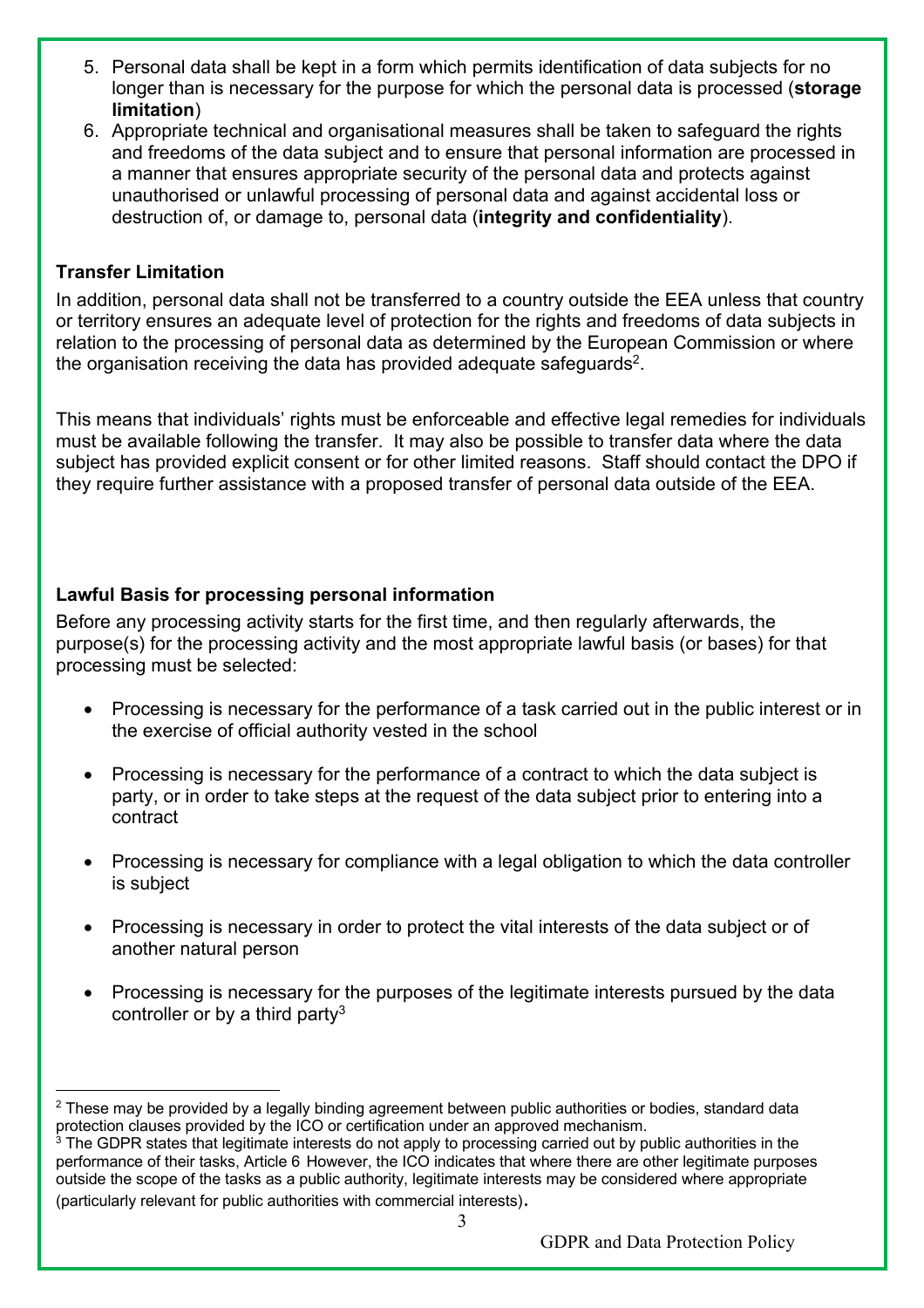- 5. Personal data shall be kept in a form which permits identification of data subjects for no longer than is necessary for the purpose for which the personal data is processed (**storage limitation**)
- 6. Appropriate technical and organisational measures shall be taken to safeguard the rights and freedoms of the data subject and to ensure that personal information are processed in a manner that ensures appropriate security of the personal data and protects against unauthorised or unlawful processing of personal data and against accidental loss or destruction of, or damage to, personal data (**integrity and confidentiality**).

## **Transfer Limitation**

In addition, personal data shall not be transferred to a country outside the EEA unless that country or territory ensures an adequate level of protection for the rights and freedoms of data subjects in relation to the processing of personal data as determined by the European Commission or where the organisation receiving the data has provided adequate safeguards<sup>2</sup>.

This means that individuals' rights must be enforceable and effective legal remedies for individuals must be available following the transfer. It may also be possible to transfer data where the data subject has provided explicit consent or for other limited reasons. Staff should contact the DPO if they require further assistance with a proposed transfer of personal data outside of the EEA.

## **Lawful Basis for processing personal information**

Before any processing activity starts for the first time, and then regularly afterwards, the purpose(s) for the processing activity and the most appropriate lawful basis (or bases) for that processing must be selected:

- Processing is necessary for the performance of a task carried out in the public interest or in the exercise of official authority vested in the school
- Processing is necessary for the performance of a contract to which the data subject is party, or in order to take steps at the request of the data subject prior to entering into a contract
- Processing is necessary for compliance with a legal obligation to which the data controller is subject
- Processing is necessary in order to protect the vital interests of the data subject or of another natural person
- Processing is necessary for the purposes of the legitimate interests pursued by the data controller or by a third party<sup>3</sup>

<sup>&</sup>lt;sup>2</sup> These may be provided by a legally binding agreement between public authorities or bodies, standard data protection clauses provided by the ICO or certification under an approved mechanism.

<sup>&</sup>lt;sup>3</sup> The GDPR states that legitimate interests do not apply to processing carried out by public authorities in the performance of their tasks, Article 6 However, the ICO indicates that where there are other legitimate purposes outside the scope of the tasks as a public authority, legitimate interests may be considered where appropriate (particularly relevant for public authorities with commercial interests).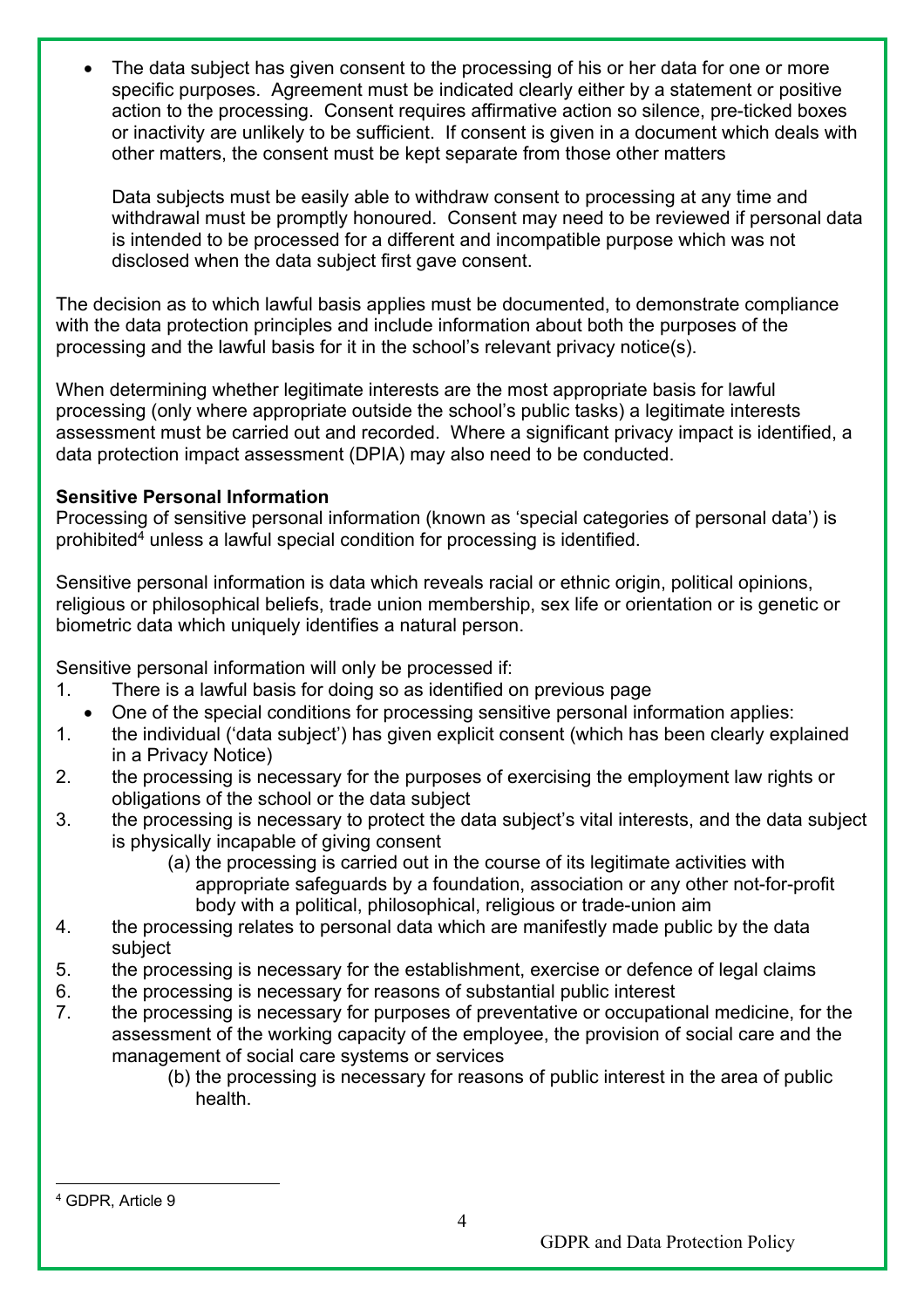The data subject has given consent to the processing of his or her data for one or more specific purposes. Agreement must be indicated clearly either by a statement or positive action to the processing. Consent requires affirmative action so silence, pre-ticked boxes or inactivity are unlikely to be sufficient. If consent is given in a document which deals with other matters, the consent must be kept separate from those other matters

Data subjects must be easily able to withdraw consent to processing at any time and withdrawal must be promptly honoured. Consent may need to be reviewed if personal data is intended to be processed for a different and incompatible purpose which was not disclosed when the data subject first gave consent.

The decision as to which lawful basis applies must be documented, to demonstrate compliance with the data protection principles and include information about both the purposes of the processing and the lawful basis for it in the school's relevant privacy notice(s).

When determining whether legitimate interests are the most appropriate basis for lawful processing (only where appropriate outside the school's public tasks) a legitimate interests assessment must be carried out and recorded. Where a significant privacy impact is identified, a data protection impact assessment (DPIA) may also need to be conducted.

## **Sensitive Personal Information**

Processing of sensitive personal information (known as 'special categories of personal data') is prohibited4 unless a lawful special condition for processing is identified.

Sensitive personal information is data which reveals racial or ethnic origin, political opinions, religious or philosophical beliefs, trade union membership, sex life or orientation or is genetic or biometric data which uniquely identifies a natural person.

Sensitive personal information will only be processed if:

- 1. There is a lawful basis for doing so as identified on previous page
- One of the special conditions for processing sensitive personal information applies:
- 1. the individual ('data subject') has given explicit consent (which has been clearly explained in a Privacy Notice)
- 2. the processing is necessary for the purposes of exercising the employment law rights or obligations of the school or the data subject
- 3. the processing is necessary to protect the data subject's vital interests, and the data subject is physically incapable of giving consent
	- (a) the processing is carried out in the course of its legitimate activities with appropriate safeguards by a foundation, association or any other not-for-profit body with a political, philosophical, religious or trade-union aim
- 4. the processing relates to personal data which are manifestly made public by the data subject
- 5. the processing is necessary for the establishment, exercise or defence of legal claims
- 6. the processing is necessary for reasons of substantial public interest
- 7. the processing is necessary for purposes of preventative or occupational medicine, for the assessment of the working capacity of the employee, the provision of social care and the management of social care systems or services
	- (b) the processing is necessary for reasons of public interest in the area of public health.

<sup>4</sup> GDPR, Article 9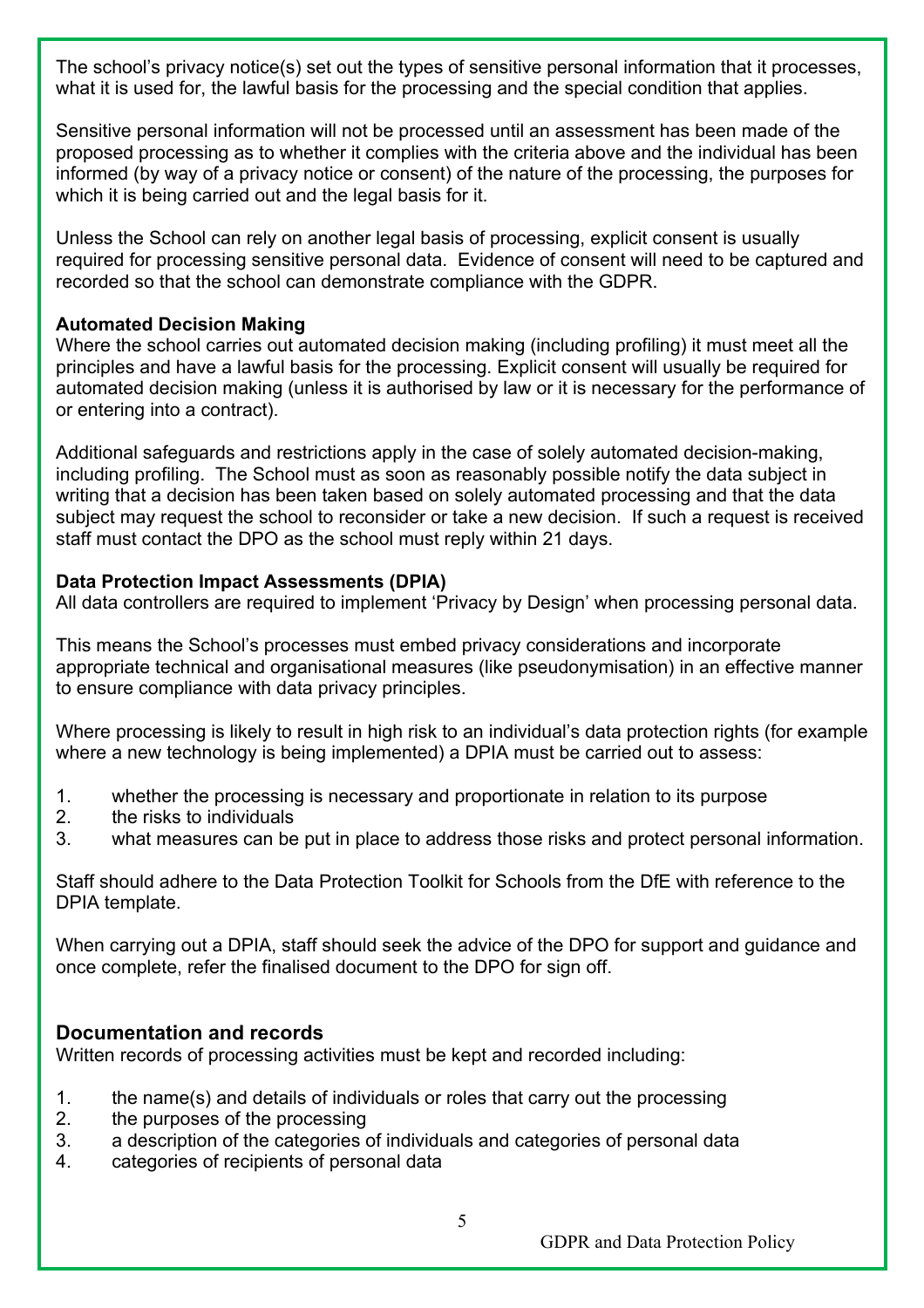The school's privacy notice(s) set out the types of sensitive personal information that it processes, what it is used for, the lawful basis for the processing and the special condition that applies.

Sensitive personal information will not be processed until an assessment has been made of the proposed processing as to whether it complies with the criteria above and the individual has been informed (by way of a privacy notice or consent) of the nature of the processing, the purposes for which it is being carried out and the legal basis for it.

Unless the School can rely on another legal basis of processing, explicit consent is usually required for processing sensitive personal data. Evidence of consent will need to be captured and recorded so that the school can demonstrate compliance with the GDPR.

## **Automated Decision Making**

Where the school carries out automated decision making (including profiling) it must meet all the principles and have a lawful basis for the processing. Explicit consent will usually be required for automated decision making (unless it is authorised by law or it is necessary for the performance of or entering into a contract).

Additional safeguards and restrictions apply in the case of solely automated decision-making, including profiling. The School must as soon as reasonably possible notify the data subject in writing that a decision has been taken based on solely automated processing and that the data subject may request the school to reconsider or take a new decision. If such a request is received staff must contact the DPO as the school must reply within 21 days.

## **Data Protection Impact Assessments (DPIA)**

All data controllers are required to implement 'Privacy by Design' when processing personal data.

This means the School's processes must embed privacy considerations and incorporate appropriate technical and organisational measures (like pseudonymisation) in an effective manner to ensure compliance with data privacy principles.

Where processing is likely to result in high risk to an individual's data protection rights (for example where a new technology is being implemented) a DPIA must be carried out to assess:

- 1. whether the processing is necessary and proportionate in relation to its purpose
- 2. the risks to individuals
- 3. what measures can be put in place to address those risks and protect personal information.

Staff should adhere to the Data Protection Toolkit for Schools from the DfE with reference to the DPIA template.

When carrying out a DPIA, staff should seek the advice of the DPO for support and guidance and once complete, refer the finalised document to the DPO for sign off.

## **Documentation and records**

Written records of processing activities must be kept and recorded including:

- 1. the name(s) and details of individuals or roles that carry out the processing
- 2. the purposes of the processing
- 3. a description of the categories of individuals and categories of personal data
- 4. categories of recipients of personal data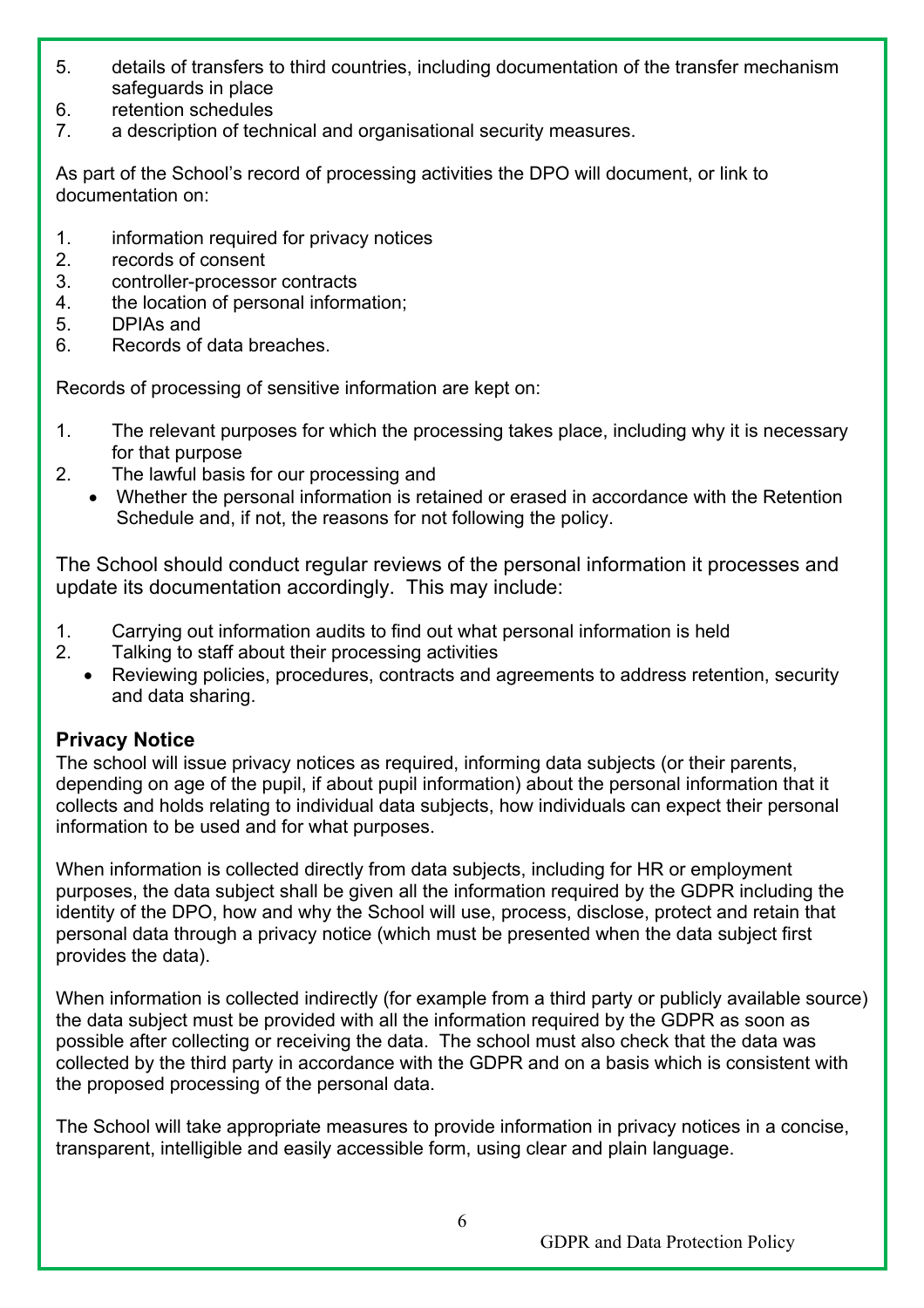- 5. details of transfers to third countries, including documentation of the transfer mechanism safeguards in place
- 6. retention schedules
- 7. a description of technical and organisational security measures.

As part of the School's record of processing activities the DPO will document, or link to documentation on:

- 1. information required for privacy notices
- 2. records of consent
- 3. controller-processor contracts
- 4. the location of personal information;
- 5. DPIAs and
- 6. Records of data breaches.

Records of processing of sensitive information are kept on:

- 1. The relevant purposes for which the processing takes place, including why it is necessary for that purpose
- 2. The lawful basis for our processing and
	- Whether the personal information is retained or erased in accordance with the Retention Schedule and, if not, the reasons for not following the policy.

The School should conduct regular reviews of the personal information it processes and update its documentation accordingly. This may include:

- 1. Carrying out information audits to find out what personal information is held
- 2. Talking to staff about their processing activities
	- Reviewing policies, procedures, contracts and agreements to address retention, security and data sharing.

## **Privacy Notice**

The school will issue privacy notices as required, informing data subjects (or their parents, depending on age of the pupil, if about pupil information) about the personal information that it collects and holds relating to individual data subjects, how individuals can expect their personal information to be used and for what purposes.

When information is collected directly from data subjects, including for HR or employment purposes, the data subject shall be given all the information required by the GDPR including the identity of the DPO, how and why the School will use, process, disclose, protect and retain that personal data through a privacy notice (which must be presented when the data subject first provides the data).

When information is collected indirectly (for example from a third party or publicly available source) the data subject must be provided with all the information required by the GDPR as soon as possible after collecting or receiving the data. The school must also check that the data was collected by the third party in accordance with the GDPR and on a basis which is consistent with the proposed processing of the personal data.

The School will take appropriate measures to provide information in privacy notices in a concise, transparent, intelligible and easily accessible form, using clear and plain language.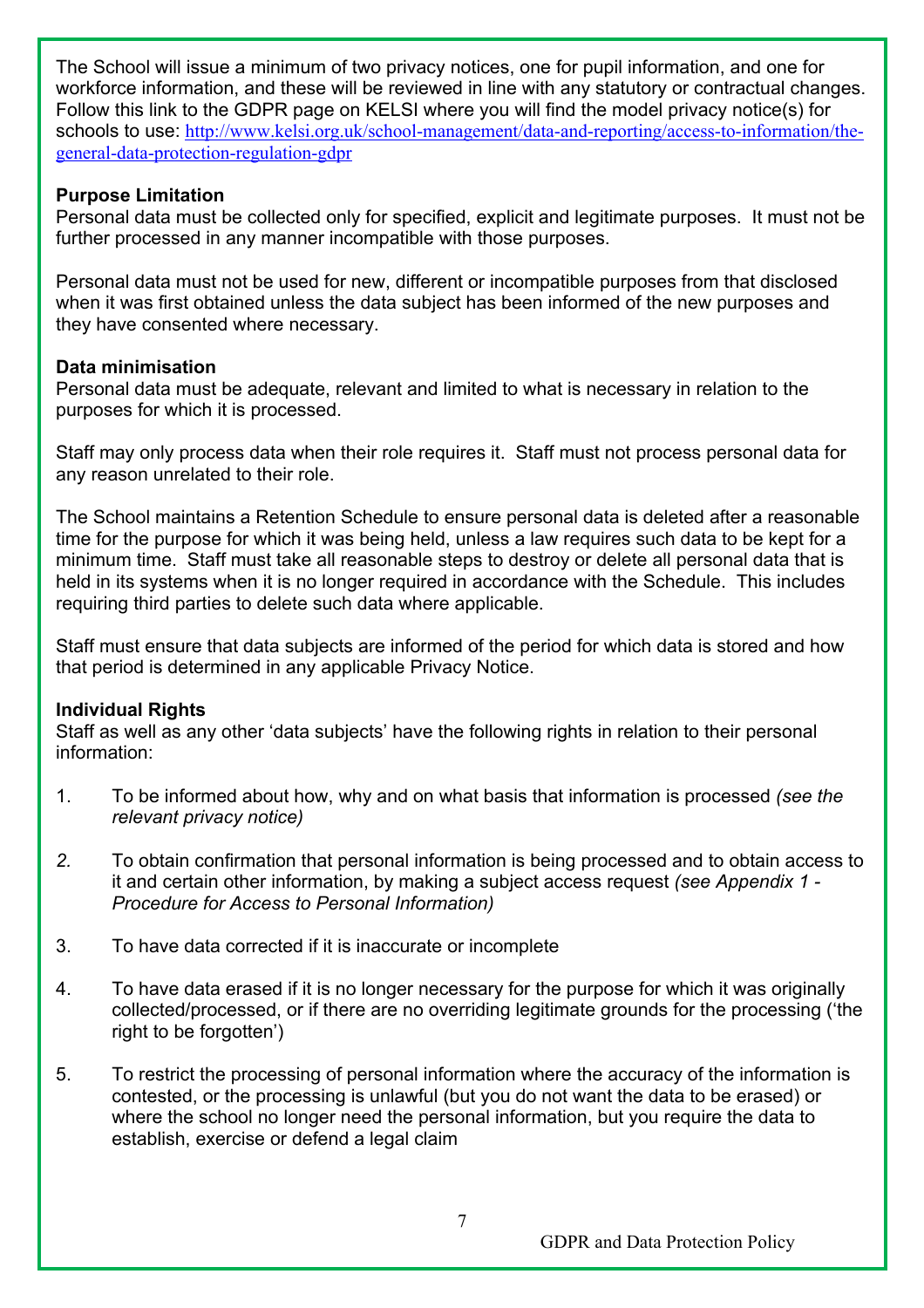The School will issue a minimum of two privacy notices, one for pupil information, and one for workforce information, and these will be reviewed in line with any statutory or contractual changes. Follow this link to the GDPR page on KELSI where you will find the model privacy notice(s) for schools to use: http://www.kelsi.org.uk/school-management/data-and-reporting/access-to-information/thegeneral-data-protection-regulation-gdpr

#### **Purpose Limitation**

Personal data must be collected only for specified, explicit and legitimate purposes. It must not be further processed in any manner incompatible with those purposes.

Personal data must not be used for new, different or incompatible purposes from that disclosed when it was first obtained unless the data subject has been informed of the new purposes and they have consented where necessary.

#### **Data minimisation**

Personal data must be adequate, relevant and limited to what is necessary in relation to the purposes for which it is processed.

Staff may only process data when their role requires it. Staff must not process personal data for any reason unrelated to their role.

The School maintains a Retention Schedule to ensure personal data is deleted after a reasonable time for the purpose for which it was being held, unless a law requires such data to be kept for a minimum time. Staff must take all reasonable steps to destroy or delete all personal data that is held in its systems when it is no longer required in accordance with the Schedule. This includes requiring third parties to delete such data where applicable.

Staff must ensure that data subjects are informed of the period for which data is stored and how that period is determined in any applicable Privacy Notice.

#### **Individual Rights**

Staff as well as any other 'data subjects' have the following rights in relation to their personal information:

- 1. To be informed about how, why and on what basis that information is processed *(see the relevant privacy notice)*
- *2.* To obtain confirmation that personal information is being processed and to obtain access to it and certain other information, by making a subject access request *(see Appendix 1 - Procedure for Access to Personal Information)*
- 3. To have data corrected if it is inaccurate or incomplete
- 4. To have data erased if it is no longer necessary for the purpose for which it was originally collected/processed, or if there are no overriding legitimate grounds for the processing ('the right to be forgotten')
- 5. To restrict the processing of personal information where the accuracy of the information is contested, or the processing is unlawful (but you do not want the data to be erased) or where the school no longer need the personal information, but you require the data to establish, exercise or defend a legal claim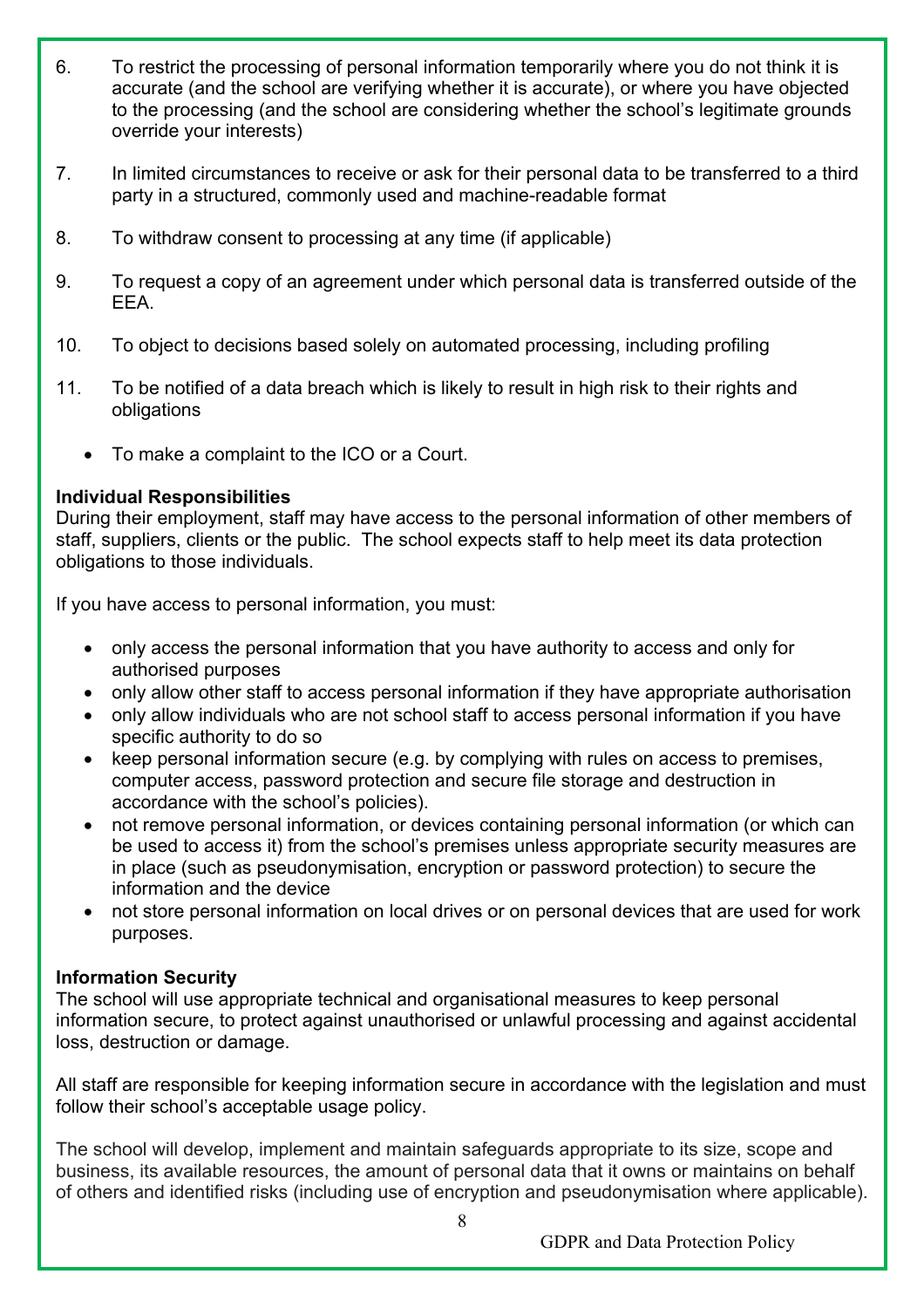- 6. To restrict the processing of personal information temporarily where you do not think it is accurate (and the school are verifying whether it is accurate), or where you have objected to the processing (and the school are considering whether the school's legitimate grounds override your interests)
- 7. In limited circumstances to receive or ask for their personal data to be transferred to a third party in a structured, commonly used and machine-readable format
- 8. To withdraw consent to processing at any time (if applicable)
- 9. To request a copy of an agreement under which personal data is transferred outside of the EEA.
- 10. To object to decisions based solely on automated processing, including profiling
- 11. To be notified of a data breach which is likely to result in high risk to their rights and obligations
	- To make a complaint to the ICO or a Court.

## **Individual Responsibilities**

During their employment, staff may have access to the personal information of other members of staff, suppliers, clients or the public. The school expects staff to help meet its data protection obligations to those individuals.

If you have access to personal information, you must:

- only access the personal information that you have authority to access and only for authorised purposes
- only allow other staff to access personal information if they have appropriate authorisation
- only allow individuals who are not school staff to access personal information if you have specific authority to do so
- keep personal information secure (e.g. by complying with rules on access to premises, computer access, password protection and secure file storage and destruction in accordance with the school's policies).
- not remove personal information, or devices containing personal information (or which can be used to access it) from the school's premises unless appropriate security measures are in place (such as pseudonymisation, encryption or password protection) to secure the information and the device
- not store personal information on local drives or on personal devices that are used for work purposes.

## **Information Security**

The school will use appropriate technical and organisational measures to keep personal information secure, to protect against unauthorised or unlawful processing and against accidental loss, destruction or damage.

All staff are responsible for keeping information secure in accordance with the legislation and must follow their school's acceptable usage policy.

The school will develop, implement and maintain safeguards appropriate to its size, scope and business, its available resources, the amount of personal data that it owns or maintains on behalf of others and identified risks (including use of encryption and pseudonymisation where applicable).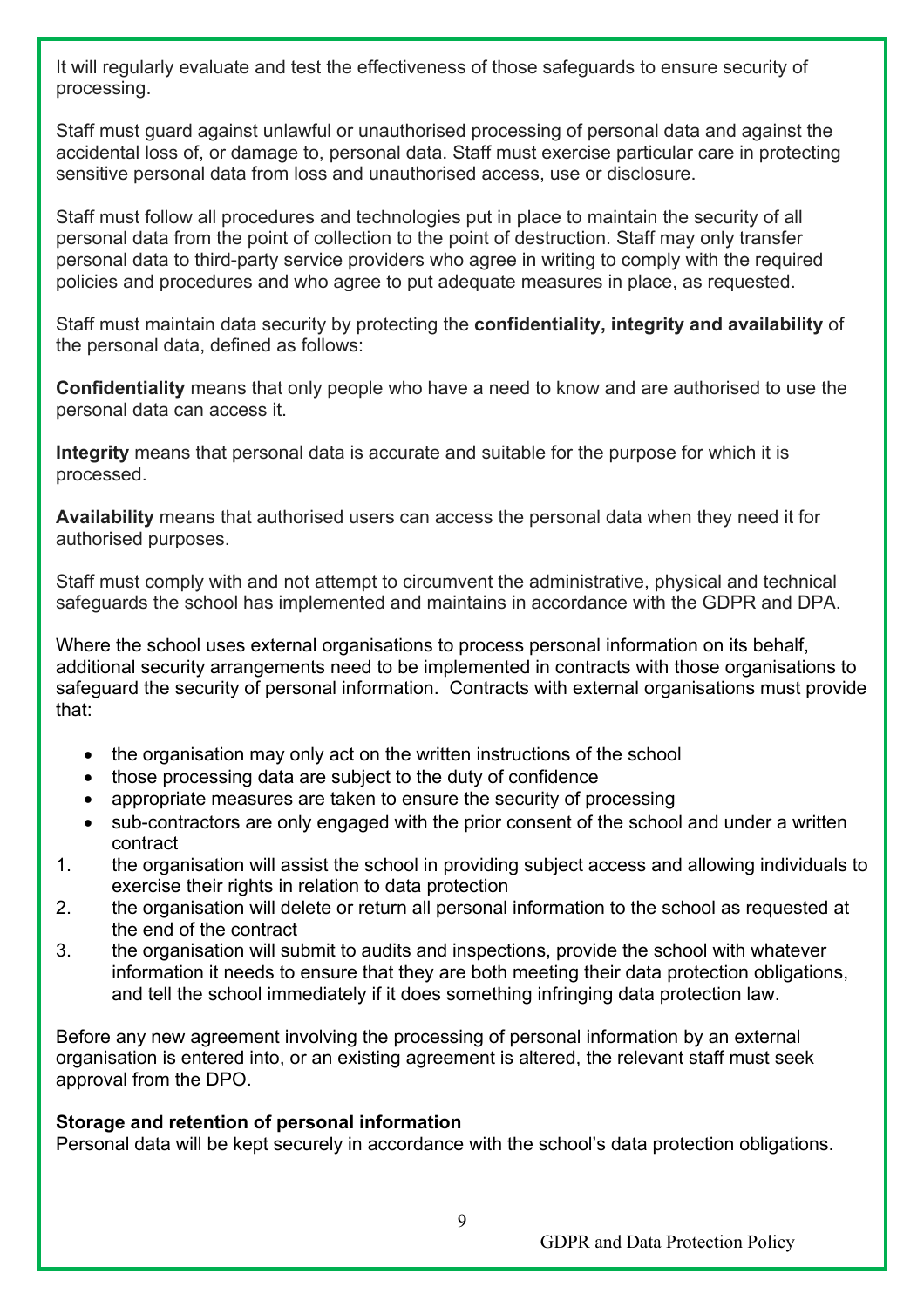It will regularly evaluate and test the effectiveness of those safeguards to ensure security of processing.

Staff must guard against unlawful or unauthorised processing of personal data and against the accidental loss of, or damage to, personal data. Staff must exercise particular care in protecting sensitive personal data from loss and unauthorised access, use or disclosure.

Staff must follow all procedures and technologies put in place to maintain the security of all personal data from the point of collection to the point of destruction. Staff may only transfer personal data to third-party service providers who agree in writing to comply with the required policies and procedures and who agree to put adequate measures in place, as requested.

Staff must maintain data security by protecting the **confidentiality, integrity and availability** of the personal data, defined as follows:

**Confidentiality** means that only people who have a need to know and are authorised to use the personal data can access it.

**Integrity** means that personal data is accurate and suitable for the purpose for which it is processed.

**Availability** means that authorised users can access the personal data when they need it for authorised purposes.

Staff must comply with and not attempt to circumvent the administrative, physical and technical safeguards the school has implemented and maintains in accordance with the GDPR and DPA.

Where the school uses external organisations to process personal information on its behalf, additional security arrangements need to be implemented in contracts with those organisations to safeguard the security of personal information. Contracts with external organisations must provide that:

- the organisation may only act on the written instructions of the school
- those processing data are subject to the duty of confidence
- appropriate measures are taken to ensure the security of processing
- sub-contractors are only engaged with the prior consent of the school and under a written contract
- 1. the organisation will assist the school in providing subject access and allowing individuals to exercise their rights in relation to data protection
- 2. the organisation will delete or return all personal information to the school as requested at the end of the contract
- 3. the organisation will submit to audits and inspections, provide the school with whatever information it needs to ensure that they are both meeting their data protection obligations, and tell the school immediately if it does something infringing data protection law.

Before any new agreement involving the processing of personal information by an external organisation is entered into, or an existing agreement is altered, the relevant staff must seek approval from the DPO.

#### **Storage and retention of personal information**

Personal data will be kept securely in accordance with the school's data protection obligations.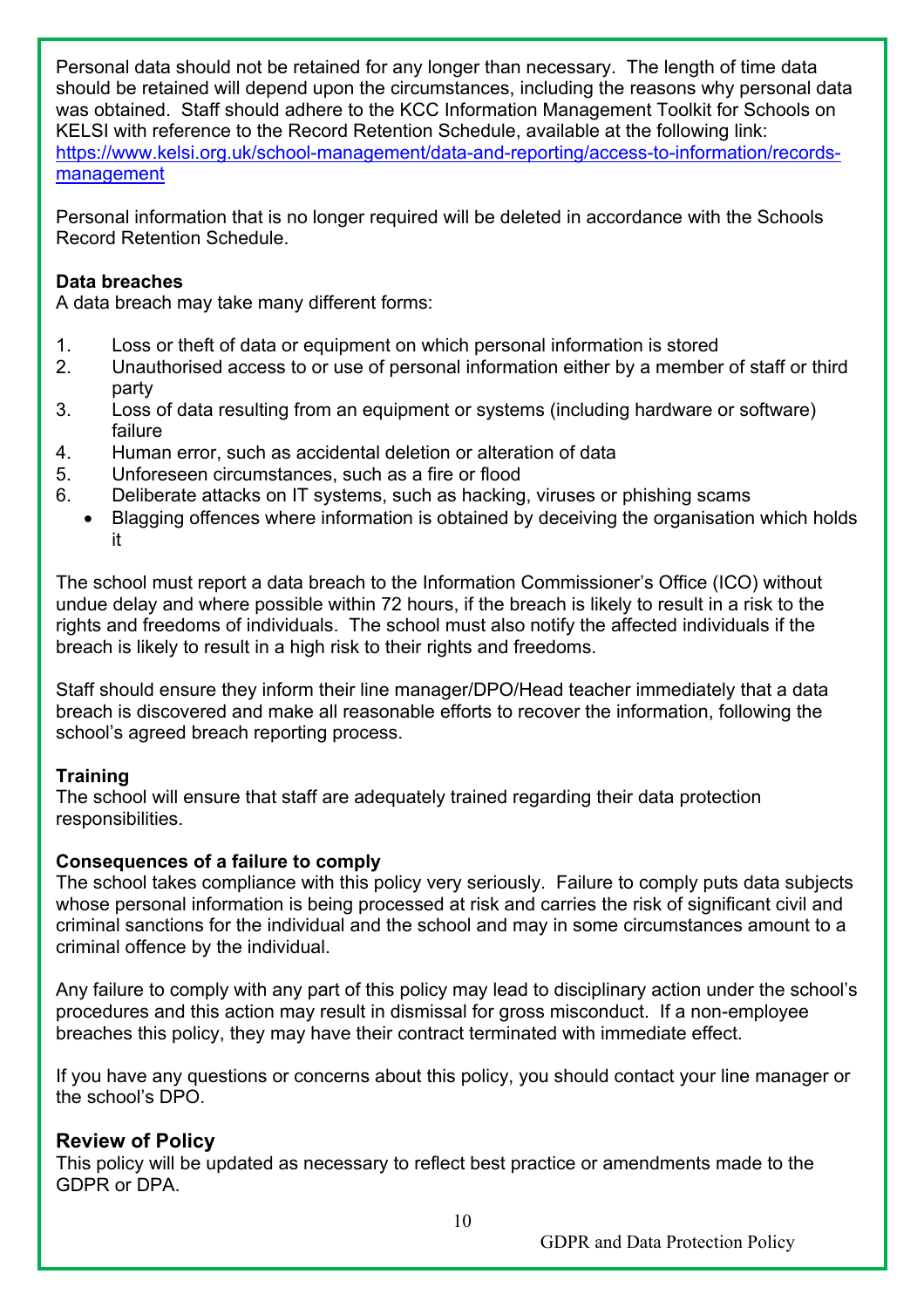Personal data should not be retained for any longer than necessary. The length of time data should be retained will depend upon the circumstances, including the reasons why personal data was obtained. Staff should adhere to the KCC Information Management Toolkit for Schools on KELSI with reference to the Record Retention Schedule, available at the following link: https://www.kelsi.org.uk/school-management/data-and-reporting/access-to-information/recordsmanagement

Personal information that is no longer required will be deleted in accordance with the Schools Record Retention Schedule.

#### **Data breaches**

A data breach may take many different forms:

- 1. Loss or theft of data or equipment on which personal information is stored
- 2. Unauthorised access to or use of personal information either by a member of staff or third party
- 3. Loss of data resulting from an equipment or systems (including hardware or software) failure
- 4. Human error, such as accidental deletion or alteration of data
- 5. Unforeseen circumstances, such as a fire or flood
- 6. Deliberate attacks on IT systems, such as hacking, viruses or phishing scams
	- Blagging offences where information is obtained by deceiving the organisation which holds it

The school must report a data breach to the Information Commissioner's Office (ICO) without undue delay and where possible within 72 hours, if the breach is likely to result in a risk to the rights and freedoms of individuals. The school must also notify the affected individuals if the breach is likely to result in a high risk to their rights and freedoms.

Staff should ensure they inform their line manager/DPO/Head teacher immediately that a data breach is discovered and make all reasonable efforts to recover the information, following the school's agreed breach reporting process.

## **Training**

The school will ensure that staff are adequately trained regarding their data protection responsibilities.

#### **Consequences of a failure to comply**

The school takes compliance with this policy very seriously. Failure to comply puts data subjects whose personal information is being processed at risk and carries the risk of significant civil and criminal sanctions for the individual and the school and may in some circumstances amount to a criminal offence by the individual.

Any failure to comply with any part of this policy may lead to disciplinary action under the school's procedures and this action may result in dismissal for gross misconduct. If a non-employee breaches this policy, they may have their contract terminated with immediate effect.

If you have any questions or concerns about this policy, you should contact your line manager or the school's DPO.

## **Review of Policy**

This policy will be updated as necessary to reflect best practice or amendments made to the GDPR or DPA.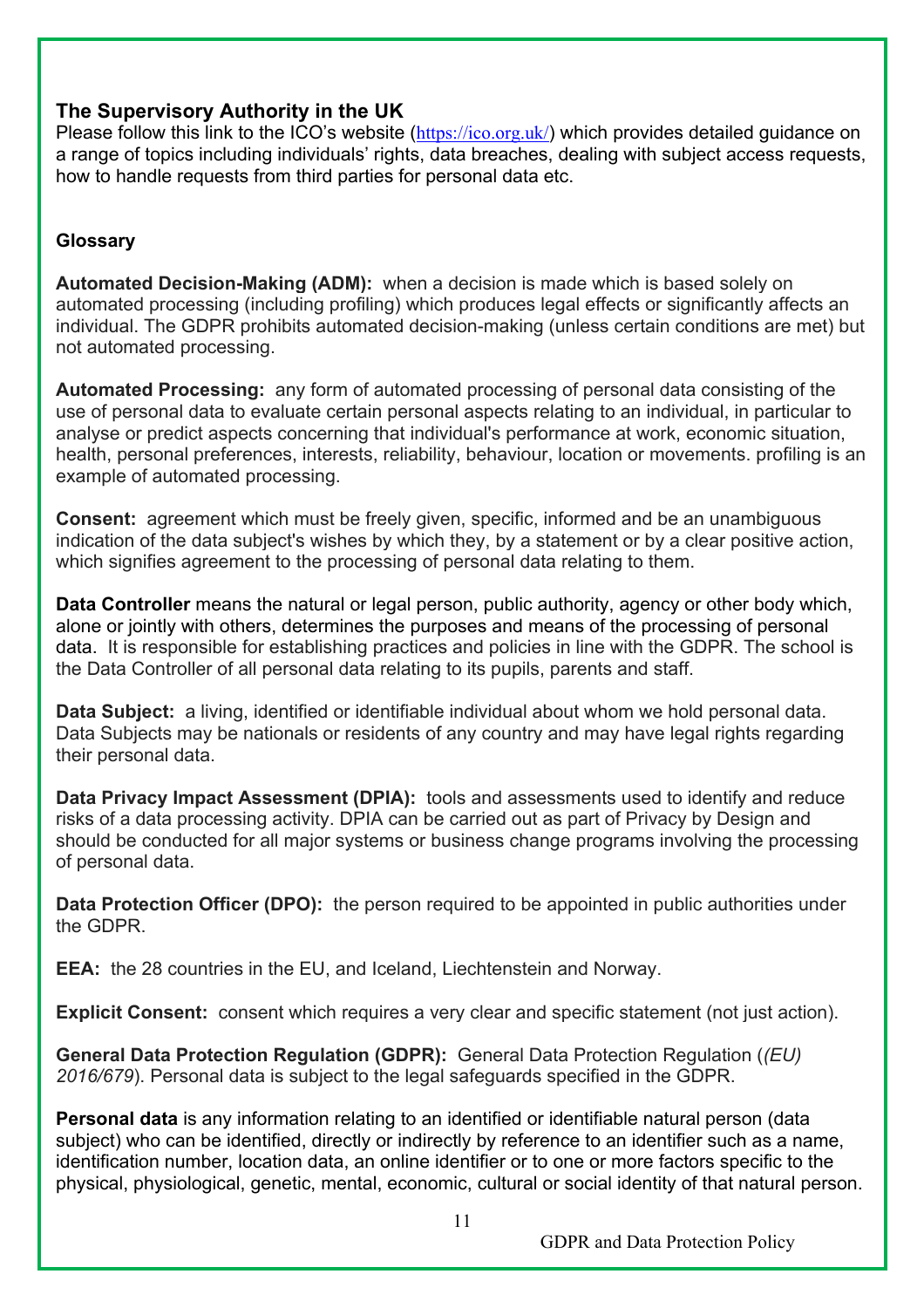## **The Supervisory Authority in the UK**

Please follow this link to the ICO's website (https://ico.org.uk/) which provides detailed guidance on a range of topics including individuals' rights, data breaches, dealing with subject access requests, how to handle requests from third parties for personal data etc.

## **Glossary**

**Automated Decision-Making (ADM):** when a decision is made which is based solely on automated processing (including profiling) which produces legal effects or significantly affects an individual. The GDPR prohibits automated decision-making (unless certain conditions are met) but not automated processing.

**Automated Processing:** any form of automated processing of personal data consisting of the use of personal data to evaluate certain personal aspects relating to an individual, in particular to analyse or predict aspects concerning that individual's performance at work, economic situation, health, personal preferences, interests, reliability, behaviour, location or movements. profiling is an example of automated processing.

**Consent:** agreement which must be freely given, specific, informed and be an unambiguous indication of the data subject's wishes by which they, by a statement or by a clear positive action, which signifies agreement to the processing of personal data relating to them.

**Data Controller** means the natural or legal person, public authority, agency or other body which, alone or jointly with others, determines the purposes and means of the processing of personal data. It is responsible for establishing practices and policies in line with the GDPR. The school is the Data Controller of all personal data relating to its pupils, parents and staff.

**Data Subject:** a living, identified or identifiable individual about whom we hold personal data. Data Subjects may be nationals or residents of any country and may have legal rights regarding their personal data.

**Data Privacy Impact Assessment (DPIA):** tools and assessments used to identify and reduce risks of a data processing activity. DPIA can be carried out as part of Privacy by Design and should be conducted for all major systems or business change programs involving the processing of personal data.

**Data Protection Officer (DPO):** the person required to be appointed in public authorities under the GDPR.

**EEA:** the 28 countries in the EU, and Iceland, Liechtenstein and Norway.

**Explicit Consent:** consent which requires a very clear and specific statement (not just action).

**General Data Protection Regulation (GDPR):** General Data Protection Regulation (*(EU) 2016/679*). Personal data is subject to the legal safeguards specified in the GDPR.

**Personal data** is any information relating to an identified or identifiable natural person (data subject) who can be identified, directly or indirectly by reference to an identifier such as a name, identification number, location data, an online identifier or to one or more factors specific to the physical, physiological, genetic, mental, economic, cultural or social identity of that natural person.